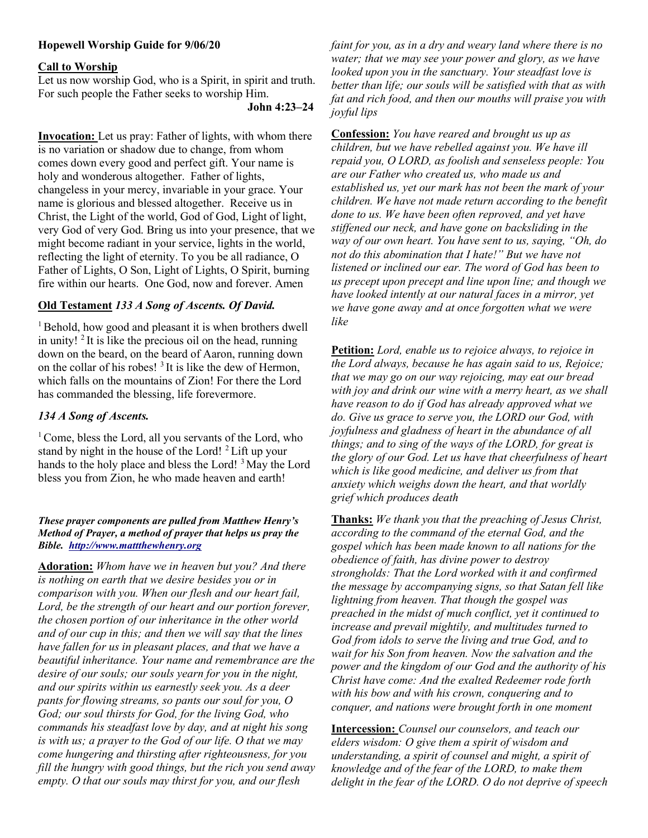# Hopewell Worship Guide for 9/06/20

### Call to Worship

Let us now worship God, who is a Spirit, in spirit and truth. For such people the Father seeks to worship Him.

John 4:23–24

Invocation: Let us pray: Father of lights, with whom there is no variation or shadow due to change, from whom comes down every good and perfect gift. Your name is holy and wonderous altogether. Father of lights, changeless in your mercy, invariable in your grace. Your name is glorious and blessed altogether. Receive us in Christ, the Light of the world, God of God, Light of light, very God of very God. Bring us into your presence, that we might become radiant in your service, lights in the world, reflecting the light of eternity. To you be all radiance, O Father of Lights, O Son, Light of Lights, O Spirit, burning fire within our hearts. One God, now and forever. Amen

# Old Testament 133 A Song of Ascents. Of David.

<sup>1</sup> Behold, how good and pleasant it is when brothers dwell in unity!  $2$  It is like the precious oil on the head, running down on the beard, on the beard of Aaron, running down on the collar of his robes! <sup>3</sup>It is like the dew of Hermon, which falls on the mountains of Zion! For there the Lord has commanded the blessing, life forevermore.

## 134 A Song of Ascents.

<sup>1</sup> Come, bless the Lord, all you servants of the Lord, who stand by night in the house of the Lord! <sup>2</sup>Lift up your hands to the holy place and bless the Lord! <sup>3</sup> May the Lord bless you from Zion, he who made heaven and earth!

#### These prayer components are pulled from Matthew Henry's Method of Prayer, a method of prayer that helps us pray the Bible. http://www.mattthewhenry.org

Adoration: Whom have we in heaven but you? And there is nothing on earth that we desire besides you or in comparison with you. When our flesh and our heart fail, Lord, be the strength of our heart and our portion forever, the chosen portion of our inheritance in the other world and of our cup in this; and then we will say that the lines have fallen for us in pleasant places, and that we have a beautiful inheritance. Your name and remembrance are the desire of our souls; our souls yearn for you in the night, and our spirits within us earnestly seek you. As a deer pants for flowing streams, so pants our soul for you, O God; our soul thirsts for God, for the living God, who commands his steadfast love by day, and at night his song is with us; a prayer to the God of our life. O that we may come hungering and thirsting after righteousness, for you fill the hungry with good things, but the rich you send away empty. O that our souls may thirst for you, and our flesh

faint for you, as in a dry and weary land where there is no water; that we may see your power and glory, as we have looked upon you in the sanctuary. Your steadfast love is better than life; our souls will be satisfied with that as with fat and rich food, and then our mouths will praise you with joyful lips

Confession: You have reared and brought us up as children, but we have rebelled against you. We have ill repaid you, O LORD, as foolish and senseless people: You are our Father who created us, who made us and established us, yet our mark has not been the mark of your children. We have not made return according to the benefit done to us. We have been often reproved, and yet have stiffened our neck, and have gone on backsliding in the way of our own heart. You have sent to us, saying, "Oh, do not do this abomination that I hate!" But we have not listened or inclined our ear. The word of God has been to us precept upon precept and line upon line; and though we have looked intently at our natural faces in a mirror, yet we have gone away and at once forgotten what we were like

Petition: Lord, enable us to rejoice always, to rejoice in the Lord always, because he has again said to us, Rejoice; that we may go on our way rejoicing, may eat our bread with joy and drink our wine with a merry heart, as we shall have reason to do if God has already approved what we do. Give us grace to serve you, the LORD our God, with joyfulness and gladness of heart in the abundance of all things; and to sing of the ways of the LORD, for great is the glory of our God. Let us have that cheerfulness of heart which is like good medicine, and deliver us from that anxiety which weighs down the heart, and that worldly grief which produces death

Thanks: We thank you that the preaching of Jesus Christ, according to the command of the eternal God, and the gospel which has been made known to all nations for the obedience of faith, has divine power to destroy strongholds: That the Lord worked with it and confirmed the message by accompanying signs, so that Satan fell like lightning from heaven. That though the gospel was preached in the midst of much conflict, yet it continued to increase and prevail mightily, and multitudes turned to God from idols to serve the living and true God, and to wait for his Son from heaven. Now the salvation and the power and the kingdom of our God and the authority of his Christ have come: And the exalted Redeemer rode forth with his bow and with his crown, conquering and to conquer, and nations were brought forth in one moment

Intercession: Counsel our counselors, and teach our elders wisdom: O give them a spirit of wisdom and understanding, a spirit of counsel and might, a spirit of knowledge and of the fear of the LORD, to make them delight in the fear of the LORD. O do not deprive of speech